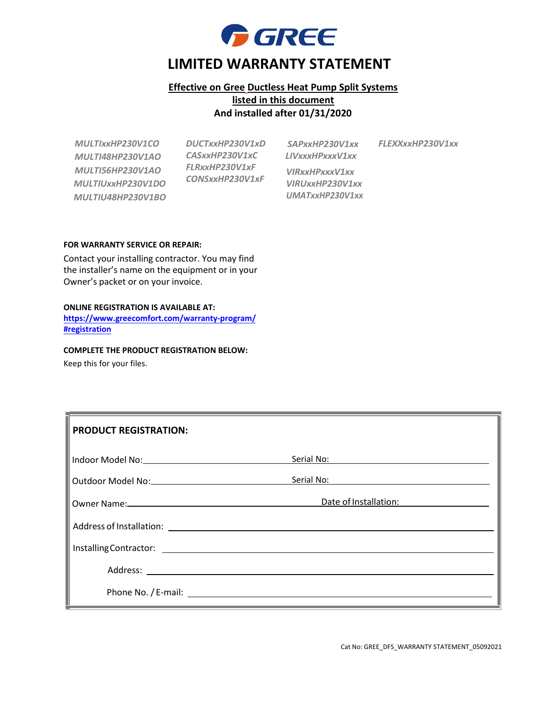

## **Effective on Gree Ductless Heat Pump Split Systems listed in this document And installed after 01/31/2020**

*MULTIxxHP230V1CO MULTI48HP230V1AO MULTI56HP230V1AO MULTIUxxHP230V1DO MULTIU48HP230V1BO* *DUCTxxHP230V1xD CASxxHP230V1xC FLRxxHP230V1xF CONSxxHP230V1xF*

*SAPxxHP230V1xx LIVxxxHPxxxV1xx VIRxxHPxxxV1xx VIRUxxHP230V1xx UMATxxHP230V1xx* *FLEXXxxHP230V1xx*

#### **FOR WARRANTY SERVICE OR REPAIR:**

Contact your installing contractor. You may find the installer's name on the equipment or in your Owner's packet or on your invoice.

#### **ONLINE REGISTRATION IS AVAILABLE AT:**

**[https://www.greecomfort.com/warranty-program/](http://www.greecomfort.com/gree-warranty-registration-form) #registration**

### **COMPLETE THE PRODUCT REGISTRATION BELOW:**

Keep this for your files.

| <b>PRODUCT REGISTRATION:</b> |                       |
|------------------------------|-----------------------|
|                              |                       |
|                              |                       |
|                              | Date of Installation: |
|                              |                       |
|                              |                       |
|                              |                       |
|                              |                       |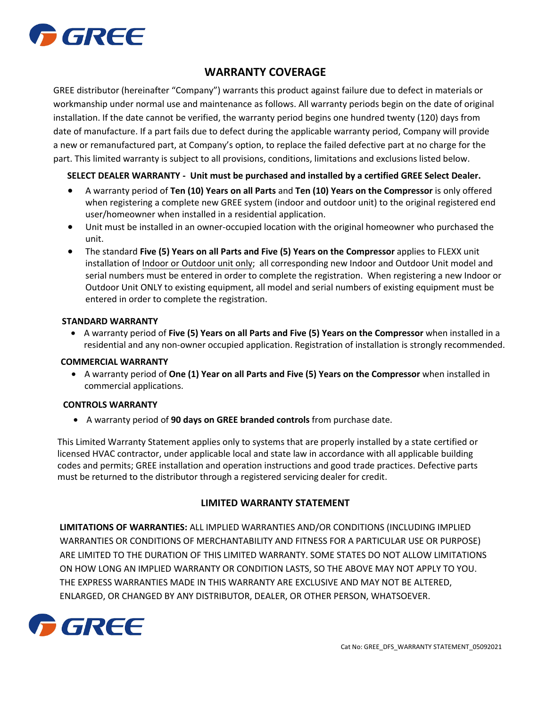

# **WARRANTY COVERAGE**

GREE distributor (hereinafter "Company") warrants this product against failure due to defect in materials or workmanship under normal use and maintenance as follows. All warranty periods begin on the date of original installation. If the date cannot be verified, the warranty period begins one hundred twenty (120) days from date of manufacture. If a part fails due to defect during the applicable warranty period, Company will provide a new or remanufactured part, at Company's option, to replace the failed defective part at no charge for the part. This limited warranty is subject to all provisions, conditions, limitations and exclusions listed below.

### **SELECT DEALER WARRANTY - Unit must be purchased and installed by a certified GREE Select Dealer.**

- A warranty period of **Ten (10) Years on all Parts** and **Ten (10) Years on the Compressor** is only offered when registering a complete new GREE system (indoor and outdoor unit) to the original registered end user/homeowner when installed in a residential application.
- Unit must be installed in an owner-occupied location with the original homeowner who purchased the unit.
- The standard **Five (5) Years on all Parts and Five (5) Years on the Compressor** applies to FLEXX unit installation of Indoor or Outdoor unit only; all corresponding new Indoor and Outdoor Unit model and serial numbers must be entered in order to complete the registration. When registering a new Indoor or Outdoor Unit ONLY to existing equipment, all model and serial numbers of existing equipment must be entered in order to complete the registration.

#### **STANDARD WARRANTY**

• A warranty period of **Five (5) Years on all Parts and Five (5) Years on the Compressor** when installed in a residential and any non-owner occupied application. Registration of installation is strongly recommended.

#### **COMMERCIAL WARRANTY**

• A warranty period of **One (1) Year on all Parts and Five (5) Years on the Compressor** when installed in commercial applications.

#### **CONTROLS WARRANTY**

• A warranty period of **90 days on GREE branded controls** from purchase date.

This Limited Warranty Statement applies only to systems that are properly installed by a state certified or licensed HVAC contractor, under applicable local and state law in accordance with all applicable building codes and permits; GREE installation and operation instructions and good trade practices. Defective parts must be returned to the distributor through a registered servicing dealer for credit.

### **LIMITED WARRANTY STATEMENT**

**LIMITATIONS OF WARRANTIES:** ALL IMPLIED WARRANTIES AND/OR CONDITIONS (INCLUDING IMPLIED WARRANTIES OR CONDITIONS OF MERCHANTABILITY AND FITNESS FOR A PARTICULAR USE OR PURPOSE) ARE LIMITED TO THE DURATION OF THIS LIMITED WARRANTY. SOME STATES DO NOT ALLOW LIMITATIONS ON HOW LONG AN IMPLIED WARRANTY OR CONDITION LASTS, SO THE ABOVE MAY NOT APPLY TO YOU. THE EXPRESS WARRANTIES MADE IN THIS WARRANTY ARE EXCLUSIVE AND MAY NOT BE ALTERED, ENLARGED, OR CHANGED BY ANY DISTRIBUTOR, DEALER, OR OTHER PERSON, WHATSOEVER.